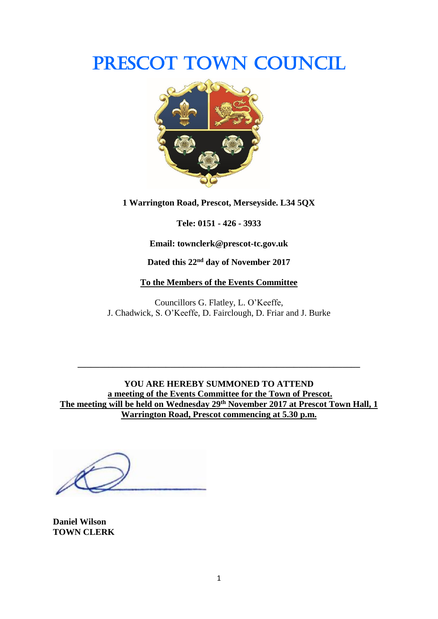# PRESCOT TOWN COUNCIL



**1 Warrington Road, Prescot, Merseyside. L34 5QX**

**Tele: 0151 - 426 - 3933**

**Email: townclerk@prescot-tc.gov.uk**

**Dated this 22nd day of November 2017**

**To the Members of the Events Committee**

Councillors G. Flatley, L. O'Keeffe, J. Chadwick, S. O'Keeffe, D. Fairclough, D. Friar and J. Burke

**YOU ARE HEREBY SUMMONED TO ATTEND a meeting of the Events Committee for the Town of Prescot. The meeting will be held on Wednesday 29th November 2017 at Prescot Town Hall, 1 Warrington Road, Prescot commencing at 5.30 p.m.**

**\_\_\_\_\_\_\_\_\_\_\_\_\_\_\_\_\_\_\_\_\_\_\_\_\_\_\_\_\_\_\_\_\_\_\_\_\_\_\_\_\_\_\_\_\_\_\_\_\_\_\_\_\_\_\_\_\_\_\_\_\_\_\_\_**

**Daniel Wilson TOWN CLERK**